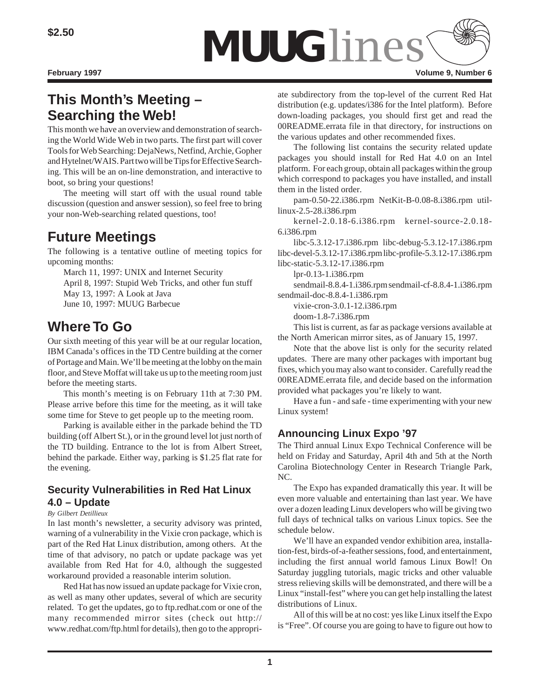

# **This Month's Meeting – Searching the Web!**

This month we have an overview and demonstration of searching the World Wide Web in two parts. The first part will cover Tools for Web Searching: DejaNews, Netfind, Archie, Gopher and Hytelnet/WAIS. Part two will be Tips for Effective Searching. This will be an on-line demonstration, and interactive to boot, so bring your questions!

The meeting will start off with the usual round table discussion (question and answer session), so feel free to bring your non-Web-searching related questions, too!

# **Future Meetings**

The following is a tentative outline of meeting topics for upcoming months:

March 11, 1997: UNIX and Internet Security April 8, 1997: Stupid Web Tricks, and other fun stuff May 13, 1997: A Look at Java June 10, 1997: MUUG Barbecue

# **Where To Go**

Our sixth meeting of this year will be at our regular location, IBM Canada's offices in the TD Centre building at the corner of Portage and Main. We'll be meeting at the lobby on the main floor, and Steve Moffat will take us up to the meeting room just before the meeting starts.

This month's meeting is on February 11th at 7:30 PM. Please arrive before this time for the meeting, as it will take some time for Steve to get people up to the meeting room.

Parking is available either in the parkade behind the TD building (off Albert St.), or in the ground level lot just north of the TD building. Entrance to the lot is from Albert Street, behind the parkade. Either way, parking is \$1.25 flat rate for the evening.

### **Security Vulnerabilities in Red Hat Linux 4.0 – Update**

#### *By Gilbert Detillieux*

In last month's newsletter, a security advisory was printed, warning of a vulnerability in the Vixie cron package, which is part of the Red Hat Linux distribution, among others. At the time of that advisory, no patch or update package was yet available from Red Hat for 4.0, although the suggested workaround provided a reasonable interim solution.

Red Hat has now issued an update package for Vixie cron, as well as many other updates, several of which are security related. To get the updates, go to ftp.redhat.com or one of the many recommended mirror sites (check out http:// www.redhat.com/ftp.html for details), then go to the appropriate subdirectory from the top-level of the current Red Hat distribution (e.g. updates/i386 for the Intel platform). Before down-loading packages, you should first get and read the 00README.errata file in that directory, for instructions on

the various updates and other recommended fixes. The following list contains the security related update packages you should install for Red Hat 4.0 on an Intel platform. For each group, obtain all packages within the group which correspond to packages you have installed, and install them in the listed order.

pam-0.50-22.i386.rpm NetKit-B-0.08-8.i386.rpm utillinux-2.5-28.i386.rpm

kernel-2.0.18-6.i386.rpm kernel-source-2.0.18- 6.i386.rpm

libc-5.3.12-17.i386.rpm libc-debug-5.3.12-17.i386.rpm libc-devel-5.3.12-17.i386.rpm libc-profile-5.3.12-17.i386.rpm libc-static-5.3.12-17.i386.rpm

lpr-0.13-1.i386.rpm

sendmail-8.8.4-1.i386.rpm sendmail-cf-8.8.4-1.i386.rpm sendmail-doc-8.8.4-1.i386.rpm

vixie-cron-3.0.1-12.i386.rpm

doom-1.8-7.i386.rpm

This list is current, as far as package versions available at the North American mirror sites, as of January 15, 1997.

Note that the above list is only for the security related updates. There are many other packages with important bug fixes, which you may also want to consider. Carefully read the 00README.errata file, and decide based on the information provided what packages you're likely to want.

Have a fun - and safe - time experimenting with your new Linux system!

## **Announcing Linux Expo '97**

The Third annual Linux Expo Technical Conference will be held on Friday and Saturday, April 4th and 5th at the North Carolina Biotechnology Center in Research Triangle Park, NC.

The Expo has expanded dramatically this year. It will be even more valuable and entertaining than last year. We have over a dozen leading Linux developers who will be giving two full days of technical talks on various Linux topics. See the schedule below.

We'll have an expanded vendor exhibition area, installation-fest, birds-of-a-feather sessions, food, and entertainment, including the first annual world famous Linux Bowl! On Saturday juggling tutorials, magic tricks and other valuable stress relieving skills will be demonstrated, and there will be a Linux "install-fest" where you can get help installing the latest distributions of Linux.

All of this will be at no cost: yes like Linux itself the Expo is "Free". Of course you are going to have to figure out how to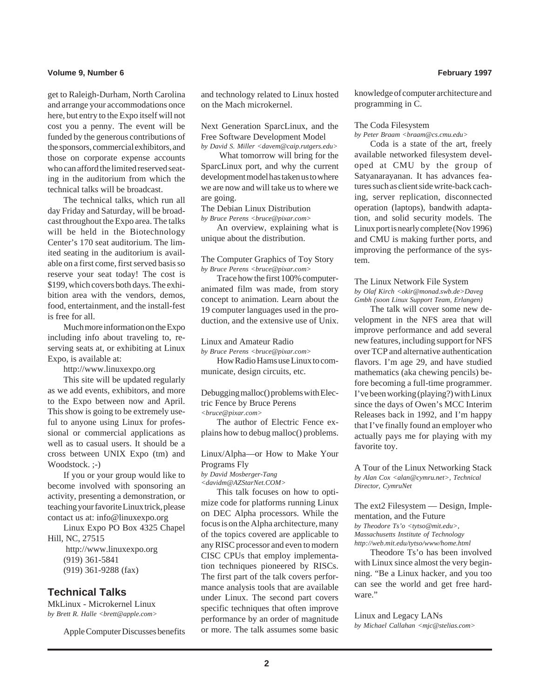#### **Volume 9, Number 6 February 1997**

get to Raleigh-Durham, North Carolina and arrange your accommodations once here, but entry to the Expo itself will not cost you a penny. The event will be funded by the generous contributions of the sponsors, commercial exhibitors, and those on corporate expense accounts who can afford the limited reserved seating in the auditorium from which the technical talks will be broadcast.

The technical talks, which run all day Friday and Saturday, will be broadcast throughout the Expo area. The talks will be held in the Biotechnology Center's 170 seat auditorium. The limited seating in the auditorium is available on a first come, first served basis so reserve your seat today! The cost is \$199, which covers both days. The exhibition area with the vendors, demos, food, entertainment, and the install-fest is free for all.

Much more information on the Expo including info about traveling to, reserving seats at, or exhibiting at Linux Expo, is available at:

http://www.linuxexpo.org

This site will be updated regularly as we add events, exhibitors, and more to the Expo between now and April. This show is going to be extremely useful to anyone using Linux for professional or commercial applications as well as to casual users. It should be a cross between UNIX Expo (tm) and Woodstock. ;-)

If you or your group would like to become involved with sponsoring an activity, presenting a demonstration, or teaching your favorite Linux trick, please contact us at: info@linuxexpo.org

Linux Expo PO Box 4325 Chapel Hill, NC, 27515 http://www.linuxexpo.org

> (919) 361-5841 (919) 361-9288 (fax)

### **Technical Talks**

MkLinux - Microkernel Linux *by Brett R. Halle <brett@apple.com>*

Apple Computer Discusses benefits

and technology related to Linux hosted on the Mach microkernel.

Next Generation SparcLinux, and the Free Software Development Model *by David S. Miller <davem@caip.rutgers.edu>*

 What tomorrow will bring for the SparcLinux port, and why the current development model has taken us to where we are now and will take us to where we are going.

The Debian Linux Distribution *by Bruce Perens <bruce@pixar.com>*

An overview, explaining what is unique about the distribution.

The Computer Graphics of Toy Story *by Bruce Perens <bruce@pixar.com>*

Trace how the first 100% computeranimated film was made, from story concept to animation. Learn about the 19 computer languages used in the production, and the extensive use of Unix.

#### Linux and Amateur Radio

*by Bruce Perens <bruce@pixar.com>* How Radio Hams use Linux to communicate, design circuits, etc.

Debugging malloc() problems with Electric Fence by Bruce Perens *<bruce@pixar.com>*

The author of Electric Fence explains how to debug malloc() problems.

Linux/Alpha—or How to Make Your Programs Fly

*by David Mosberger-Tang*

*<davidm@AZStarNet.COM>*

This talk focuses on how to optimize code for platforms running Linux on DEC Alpha processors. While the focus is on the Alpha architecture, many of the topics covered are applicable to any RISC processor and even to modern CISC CPUs that employ implementation techniques pioneered by RISCs. The first part of the talk covers performance analysis tools that are available under Linux. The second part covers specific techniques that often improve performance by an order of magnitude or more. The talk assumes some basic

knowledge of computer architecture and programming in C.

#### The Coda Filesystem

*by Peter Braam <braam@cs.cmu.edu>*

Coda is a state of the art, freely available networked filesystem developed at CMU by the group of Satyanarayanan. It has advances features such as client side write-back caching, server replication, disconnected operation (laptops), bandwith adaptation, and solid security models. The Linux port is nearly complete (Nov 1996) and CMU is making further ports, and improving the performance of the system.

#### The Linux Network File System *by Olaf Kirch <okir@monad.swb.de>Daveg Gmbh (soon Linux Support Team, Erlangen)*

The talk will cover some new development in the NFS area that will improve performance and add several new features, including support for NFS over TCP and alternative authentication flavors. I'm age 29, and have studied mathematics (aka chewing pencils) before becoming a full-time programmer. I've been working (playing?) with Linux since the days of Owen's MCC Interim Releases back in 1992, and I'm happy that I've finally found an employer who actually pays me for playing with my favorite toy.

A Tour of the Linux Networking Stack *by Alan Cox <alan@cymru.net>, Technical Director, CymruNet*

The ext2 Filesystem — Design, Implementation, and the Future

*by Theodore Ts'o <tytso@mit.edu>,*

*Massachusetts Institute of Technology http://web.mit.edu/tytso/www/home.html*

Theodore Ts'o has been involved with Linux since almost the very beginning. "Be a Linux hacker, and you too can see the world and get free hardware."

#### Linux and Legacy LANs

*by Michael Callahan <mjc@stelias.com>*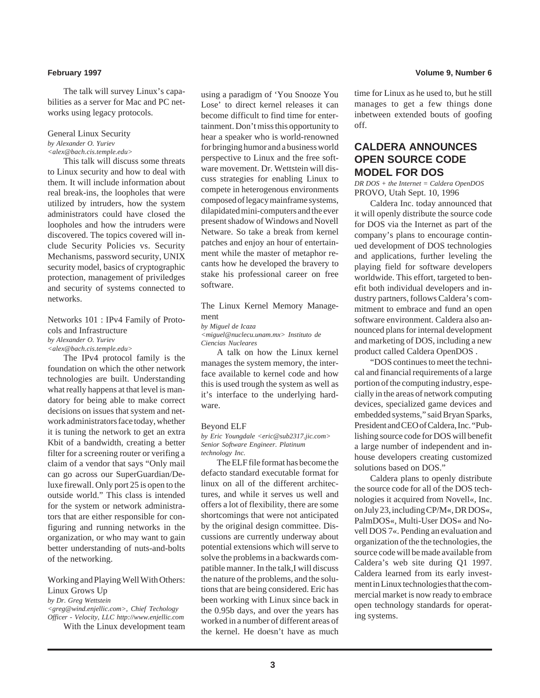The talk will survey Linux's capabilities as a server for Mac and PC networks using legacy protocols.

#### General Linux Security *by Alexander O. Yuriev <alex@bach.cis.temple.edu>*

This talk will discuss some threats to Linux security and how to deal with them. It will include information about real break-ins, the loopholes that were utilized by intruders, how the system administrators could have closed the loopholes and how the intruders were discovered. The topics covered will include Security Policies vs. Security Mechanisms, password security, UNIX security model, basics of cryptographic protection, management of priviledges and security of systems connected to networks.

Networks 101 : IPv4 Family of Protocols and Infrastructure *by Alexander O. Yuriev*

*<alex@bach.cis.temple.edu>*

The IPv4 protocol family is the foundation on which the other network technologies are built. Understanding what really happens at that level is mandatory for being able to make correct decisions on issues that system and network administrators face today, whether it is tuning the network to get an extra Kbit of a bandwidth, creating a better filter for a screening router or verifing a claim of a vendor that says "Only mail can go across our SuperGuardian/Deluxe firewall. Only port 25 is open to the outside world." This class is intended for the system or network administrators that are either responsible for configuring and running networks in the organization, or who may want to gain better understanding of nuts-and-bolts of the networking.

#### Working and Playing Well With Others: Linux Grows Up

*by Dr. Greg Wettstein <greg@wind.enjellic.com>, Chief Techology Officer - Velocity, LLC http://www.enjellic.com* With the Linux development team

using a paradigm of 'You Snooze You Lose' to direct kernel releases it can become difficult to find time for entertainment. Don't miss this opportunity to hear a speaker who is world-renowned for bringing humor and a business world perspective to Linux and the free software movement. Dr. Wettstein will discuss strategies for enabling Linux to compete in heterogenous environments composed of legacy mainframe systems, dilapidated mini-computers and the ever present shadow of Windows and Novell Netware. So take a break from kernel patches and enjoy an hour of entertainment while the master of metaphor recants how he developed the bravery to stake his professional career on free software.

#### The Linux Kernel Memory Management

#### *by Miguel de Icaza*

*<miguel@nuclecu.unam.mx> Instituto de Ciencias Nucleares*

A talk on how the Linux kernel manages the system memory, the interface available to kernel code and how this is used trough the system as well as it's interface to the underlying hardware.

#### Beyond ELF

*by Eric Youngdale <eric@sub2317.jic.com> Senior Software Engineer. Platinum technology Inc.*

The ELF file format has become the defacto standard executable format for linux on all of the different architectures, and while it serves us well and offers a lot of flexibility, there are some shortcomings that were not anticipated by the original design committee. Discussions are currently underway about potential extensions which will serve to solve the problems in a backwards compatible manner. In the talk,I will discuss the nature of the problems, and the solutions that are being considered. Eric has been working with Linux since back in the 0.95b days, and over the years has worked in a number of different areas of the kernel. He doesn't have as much

time for Linux as he used to, but he still manages to get a few things done inbetween extended bouts of goofing off.

### **CALDERA ANNOUNCES OPEN SOURCE CODE MODEL FOR DOS**

*DR DOS + the Internet = Caldera OpenDOS* PROVO, Utah Sept. 10, 1996

Caldera Inc. today announced that it will openly distribute the source code for DOS via the Internet as part of the company's plans to encourage continued development of DOS technologies and applications, further leveling the playing field for software developers worldwide. This effort, targeted to benefit both individual developers and industry partners, follows Caldera's commitment to embrace and fund an open software environment. Caldera also announced plans for internal development and marketing of DOS, including a new product called Caldera OpenDOS .

"DOS continues to meet the technical and financial requirements of a large portion of the computing industry, especially in the areas of network computing devices, specialized game devices and embedded systems," said Bryan Sparks, President and CEO of Caldera, Inc. "Publishing source code for DOS will benefit a large number of independent and inhouse developers creating customized solutions based on DOS."

Caldera plans to openly distribute the source code for all of the DOS technologies it acquired from Novell«, Inc. on July 23, including CP/M«, DR DOS«, PalmDOS«, Multi-User DOS« and Novell DOS 7«. Pending an evaluation and organization of the the technologies, the source code will be made available from Caldera's web site during Q1 1997. Caldera learned from its early investment in Linux technologies that the commercial market is now ready to embrace open technology standards for operating systems.